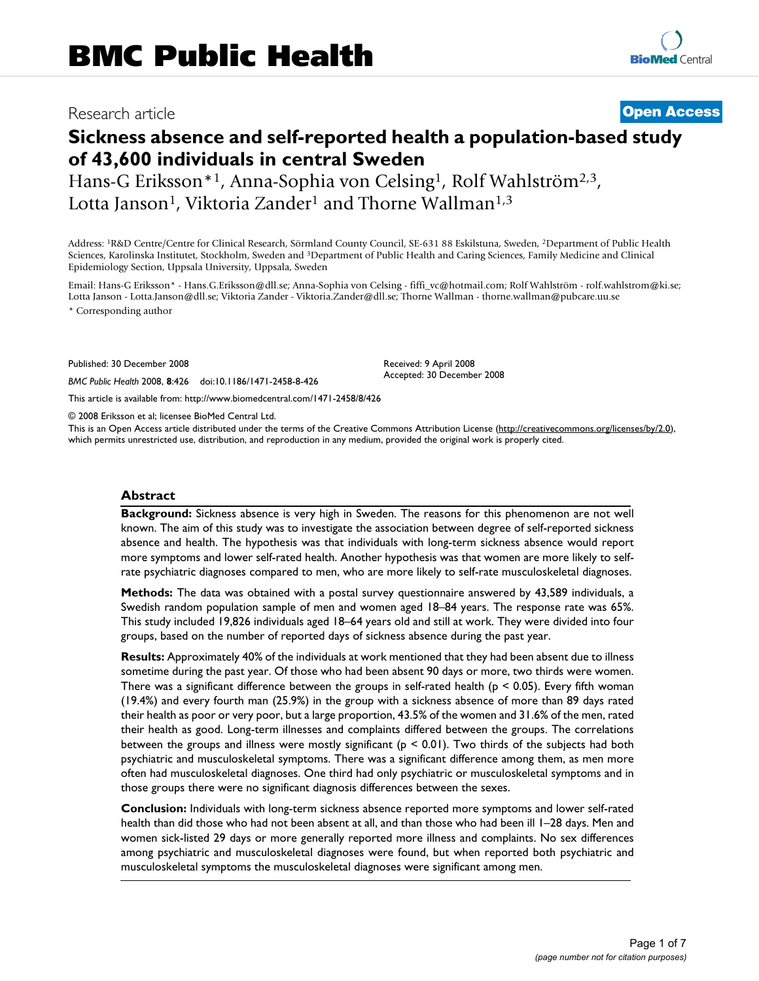# Research article **[Open Access](http://www.biomedcentral.com/info/about/charter/)**

# **Sickness absence and self-reported health a population-based study of 43,600 individuals in central Sweden**

Hans-G Eriksson<sup>\*1</sup>, Anna-Sophia von Celsing<sup>1</sup>, Rolf Wahlström<sup>2,3</sup>, Lotta Janson<sup>1</sup>, Viktoria Zander<sup>1</sup> and Thorne Wallman<sup>1,3</sup>

Address: 1R&D Centre/Centre for Clinical Research, Sörmland County Council, SE-631 88 Eskilstuna, Sweden, 2Department of Public Health Sciences, Karolinska Institutet, Stockholm, Sweden and 3Department of Public Health and Caring Sciences, Family Medicine and Clinical Epidemiology Section, Uppsala University, Uppsala, Sweden

Email: Hans-G Eriksson\* - Hans.G.Eriksson@dll.se; Anna-Sophia von Celsing - fiffi\_vc@hotmail.com; Rolf Wahlström - rolf.wahlstrom@ki.se; Lotta Janson - Lotta.Janson@dll.se; Viktoria Zander - Viktoria.Zander@dll.se; Thorne Wallman - thorne.wallman@pubcare.uu.se \* Corresponding author

> Received: 9 April 2008 Accepted: 30 December 2008

Published: 30 December 2008

*BMC Public Health* 2008, **8**:426 doi:10.1186/1471-2458-8-426

[This article is available from: http://www.biomedcentral.com/1471-2458/8/426](http://www.biomedcentral.com/1471-2458/8/426)

© 2008 Eriksson et al; licensee BioMed Central Ltd.

This is an Open Access article distributed under the terms of the Creative Commons Attribution License [\(http://creativecommons.org/licenses/by/2.0\)](http://creativecommons.org/licenses/by/2.0), which permits unrestricted use, distribution, and reproduction in any medium, provided the original work is properly cited.

#### **Abstract**

**Background:** Sickness absence is very high in Sweden. The reasons for this phenomenon are not well known. The aim of this study was to investigate the association between degree of self-reported sickness absence and health. The hypothesis was that individuals with long-term sickness absence would report more symptoms and lower self-rated health. Another hypothesis was that women are more likely to selfrate psychiatric diagnoses compared to men, who are more likely to self-rate musculoskeletal diagnoses.

**Methods:** The data was obtained with a postal survey questionnaire answered by 43,589 individuals, a Swedish random population sample of men and women aged 18–84 years. The response rate was 65%. This study included 19,826 individuals aged 18–64 years old and still at work. They were divided into four groups, based on the number of reported days of sickness absence during the past year.

**Results:** Approximately 40% of the individuals at work mentioned that they had been absent due to illness sometime during the past year. Of those who had been absent 90 days or more, two thirds were women. There was a significant difference between the groups in self-rated health ( $p < 0.05$ ). Every fifth woman (19.4%) and every fourth man (25.9%) in the group with a sickness absence of more than 89 days rated their health as poor or very poor, but a large proportion, 43.5% of the women and 31.6% of the men, rated their health as good. Long-term illnesses and complaints differed between the groups. The correlations between the groups and illness were mostly significant ( $p < 0.01$ ). Two thirds of the subjects had both psychiatric and musculoskeletal symptoms. There was a significant difference among them, as men more often had musculoskeletal diagnoses. One third had only psychiatric or musculoskeletal symptoms and in those groups there were no significant diagnosis differences between the sexes.

**Conclusion:** Individuals with long-term sickness absence reported more symptoms and lower self-rated health than did those who had not been absent at all, and than those who had been ill 1–28 days. Men and women sick-listed 29 days or more generally reported more illness and complaints. No sex differences among psychiatric and musculoskeletal diagnoses were found, but when reported both psychiatric and musculoskeletal symptoms the musculoskeletal diagnoses were significant among men.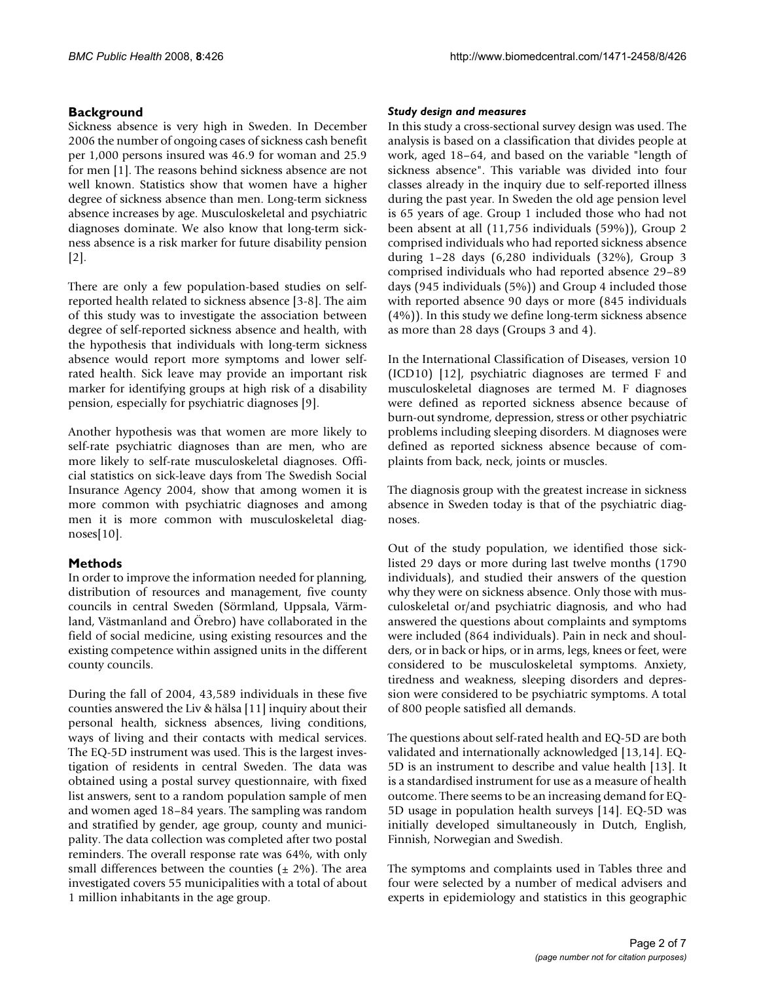# **Background**

Sickness absence is very high in Sweden. In December 2006 the number of ongoing cases of sickness cash benefit per 1,000 persons insured was 46.9 for woman and 25.9 for men [1]. The reasons behind sickness absence are not well known. Statistics show that women have a higher degree of sickness absence than men. Long-term sickness absence increases by age. Musculoskeletal and psychiatric diagnoses dominate. We also know that long-term sickness absence is a risk marker for future disability pension  $|2|$ .

There are only a few population-based studies on selfreported health related to sickness absence [[3](#page-6-0)-8]. The aim of this study was to investigate the association between degree of self-reported sickness absence and health, with the hypothesis that individuals with long-term sickness absence would report more symptoms and lower selfrated health. Sick leave may provide an important risk marker for identifying groups at high risk of a disability pension, especially for psychiatric diagnoses [9].

Another hypothesis was that women are more likely to self-rate psychiatric diagnoses than are men, who are more likely to self-rate musculoskeletal diagnoses. Official statistics on sick-leave days from The Swedish Social Insurance Agency 2004, show that among women it is more common with psychiatric diagnoses and among men it is more common with musculoskeletal diagnoses[10].

# **Methods**

In order to improve the information needed for planning, distribution of resources and management, five county councils in central Sweden (Sörmland, Uppsala, Värmland, Västmanland and Örebro) have collaborated in the field of social medicine, using existing resources and the existing competence within assigned units in the different county councils.

During the fall of 2004, 43,589 individuals in these five counties answered the Liv & hälsa [11] inquiry about their personal health, sickness absences, living conditions, ways of living and their contacts with medical services. The EQ-5D instrument was used. This is the largest investigation of residents in central Sweden. The data was obtained using a postal survey questionnaire, with fixed list answers, sent to a random population sample of men and women aged 18–84 years. The sampling was random and stratified by gender, age group, county and municipality. The data collection was completed after two postal reminders. The overall response rate was 64%, with only small differences between the counties  $(\pm 2\%)$ . The area investigated covers 55 municipalities with a total of about 1 million inhabitants in the age group.

# *Study design and measures*

In this study a cross-sectional survey design was used. The analysis is based on a classification that divides people at work, aged 18–64, and based on the variable "length of sickness absence". This variable was divided into four classes already in the inquiry due to self-reported illness during the past year. In Sweden the old age pension level is 65 years of age. Group 1 included those who had not been absent at all (11,756 individuals (59%)), Group 2 comprised individuals who had reported sickness absence during 1–28 days (6,280 individuals (32%), Group 3 comprised individuals who had reported absence 29–89 days (945 individuals (5%)) and Group 4 included those with reported absence 90 days or more (845 individuals (4%)). In this study we define long-term sickness absence as more than 28 days (Groups 3 and 4).

In the International Classification of Diseases, version 10 (ICD10) [12], psychiatric diagnoses are termed F and musculoskeletal diagnoses are termed M. F diagnoses were defined as reported sickness absence because of burn-out syndrome, depression, stress or other psychiatric problems including sleeping disorders. M diagnoses were defined as reported sickness absence because of complaints from back, neck, joints or muscles.

The diagnosis group with the greatest increase in sickness absence in Sweden today is that of the psychiatric diagnoses.

Out of the study population, we identified those sicklisted 29 days or more during last twelve months (1790 individuals), and studied their answers of the question why they were on sickness absence. Only those with musculoskeletal or/and psychiatric diagnosis, and who had answered the questions about complaints and symptoms were included (864 individuals). Pain in neck and shoulders, or in back or hips, or in arms, legs, knees or feet, were considered to be musculoskeletal symptoms. Anxiety, tiredness and weakness, sleeping disorders and depression were considered to be psychiatric symptoms. A total of 800 people satisfied all demands.

The questions about self-rated health and EQ-5D are both validated and internationally acknowledged [13,14]. EQ-5D is an instrument to describe and value health [13]. It is a standardised instrument for use as a measure of health outcome. There seems to be an increasing demand for EQ-5D usage in population health surveys [14]. EQ-5D was initially developed simultaneously in Dutch, English, Finnish, Norwegian and Swedish.

The symptoms and complaints used in Tables three and four were selected by a number of medical advisers and experts in epidemiology and statistics in this geographic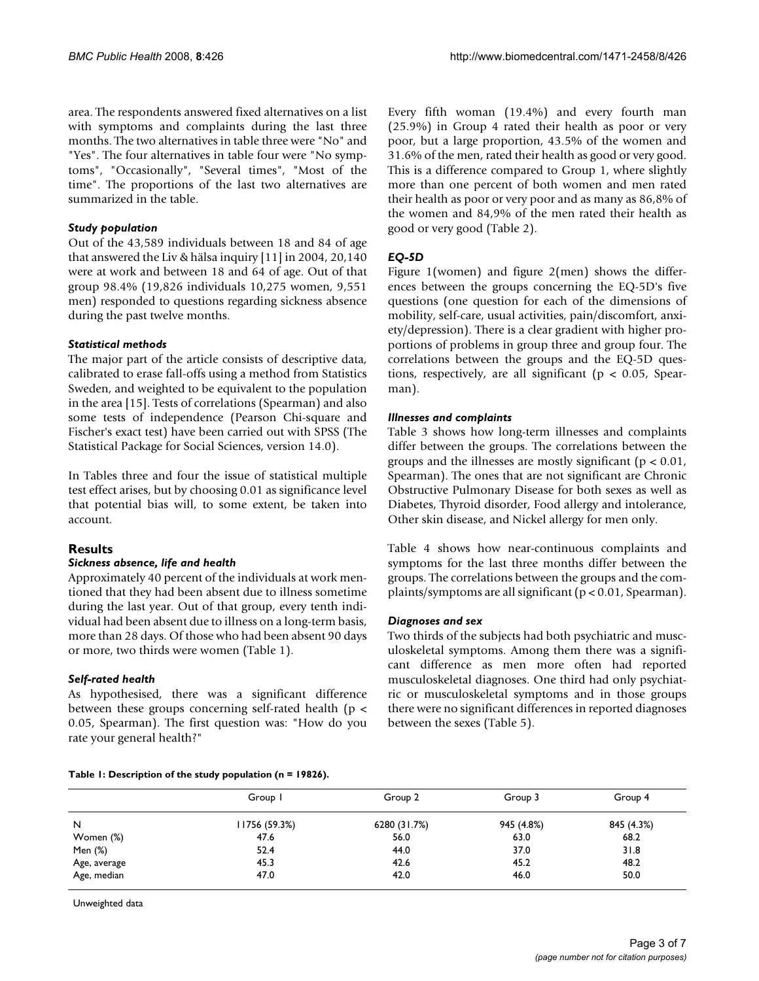area. The respondents answered fixed alternatives on a list with symptoms and complaints during the last three months. The two alternatives in table three were "No" and "Yes". The four alternatives in table four were "No symptoms", "Occasionally", "Several times", "Most of the time". The proportions of the last two alternatives are summarized in the table.

#### *Study population*

Out of the 43,589 individuals between 18 and 84 of age that answered the Liv & hälsa inquiry [11] in 2004, 20,140 were at work and between 18 and 64 of age. Out of that group 98.4% (19,826 individuals 10,275 women, 9,551 men) responded to questions regarding sickness absence during the past twelve months.

# *Statistical methods*

The major part of the article consists of descriptive data, calibrated to erase fall-offs using a method from Statistics Sweden, and weighted to be equivalent to the population in the area [15]. Tests of correlations (Spearman) and also some tests of independence (Pearson Chi-square and Fischer's exact test) have been carried out with SPSS (The Statistical Package for Social Sciences, version 14.0).

In Tables three and four the issue of statistical multiple test effect arises, but by choosing 0.01 as significance level that potential bias will, to some extent, be taken into account.

# **Results**

# *Sickness absence, life and health*

Approximately 40 percent of the individuals at work mentioned that they had been absent due to illness sometime during the last year. Out of that group, every tenth individual had been absent due to illness on a long-term basis, more than 28 days. Of those who had been absent 90 days or more, two thirds were women (Table 1).

# *Self-rated health*

As hypothesised, there was a significant difference between these groups concerning self-rated health ( $p <$ 0.05, Spearman). The first question was: "How do you rate your general health?"

Every fifth woman (19.4%) and every fourth man (25.9%) in Group 4 rated their health as poor or very poor, but a large proportion, 43.5% of the women and 31.6% of the men, rated their health as good or very good. This is a difference compared to Group 1, where slightly more than one percent of both women and men rated their health as poor or very poor and as many as 86,8% of the women and 84,9% of the men rated their health as good or very good (Table 2).

# *EQ-5D*

Figure 1(women) and figure 2(men) shows the differences between the groups concerning the EQ-5D's five questions (one question for each of the dimensions of mobility, self-care, usual activities, pain/discomfort, anxiety/depression). There is a clear gradient with higher proportions of problems in group three and group four. The correlations between the groups and the EQ-5D questions, respectively, are all significant ( $p < 0.05$ , Spearman).

#### *Illnesses and complaints*

Table 3 shows how long-term illnesses and complaints differ between the groups. The correlations between the groups and the illnesses are mostly significant ( $p < 0.01$ , Spearman). The ones that are not significant are Chronic Obstructive Pulmonary Disease for both sexes as well as Diabetes, Thyroid disorder, Food allergy and intolerance, Other skin disease, and Nickel allergy for men only.

Table 4 shows how near-continuous complaints and symptoms for the last three months differ between the groups. The correlations between the groups and the complaints/symptoms are all significant (p < 0.01, Spearman).

# *Diagnoses and sex*

Two thirds of the subjects had both psychiatric and musculoskeletal symptoms. Among them there was a significant difference as men more often had reported musculoskeletal diagnoses. One third had only psychiatric or musculoskeletal symptoms and in those groups there were no significant differences in reported diagnoses between the sexes (Table 5).

#### **Table 1: Description of the study population (n = 19826).**

|              | Group I       | Group 2      | Group 3    | Group 4    |
|--------------|---------------|--------------|------------|------------|
| N            | 11756 (59.3%) | 6280 (31.7%) | 945 (4.8%) | 845 (4.3%) |
| Women (%)    | 47.6          | 56.0         | 63.0       | 68.2       |
| Men (%)      | 52.4          | 44.0         | 37.0       | 31.8       |
| Age, average | 45.3          | 42.6         | 45.2       | 48.2       |
| Age, median  | 47.0          | 42.0         | 46.0       | 50.0       |

Unweighted data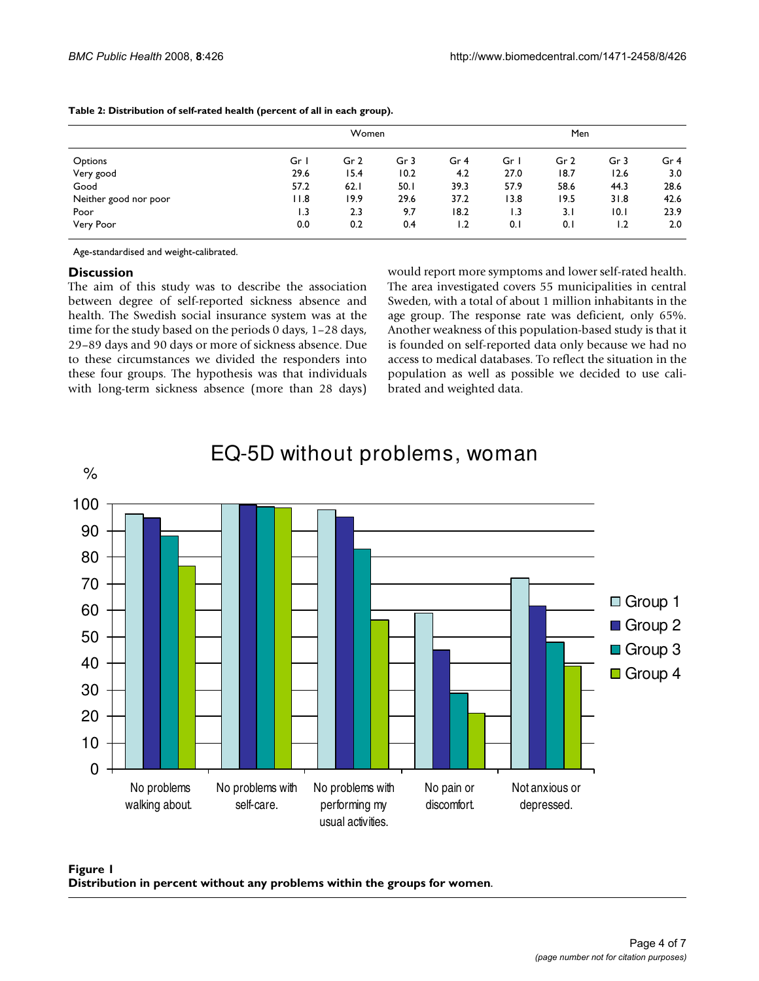|                       |      | Women |      |                 | Men  |                 |                 |                 |  |
|-----------------------|------|-------|------|-----------------|------|-----------------|-----------------|-----------------|--|
| Options               | Gr I | Gr 2  | Gr 3 | Gr <sub>4</sub> | Gr I | Gr <sub>2</sub> | Gr <sub>3</sub> | Gr <sub>4</sub> |  |
| Very good             | 29.6 | 15.4  | 10.2 | 4.2             | 27.0 | 18.7            | 12.6            | 3.0             |  |
| Good                  | 57.2 | 62.1  | 50.1 | 39.3            | 57.9 | 58.6            | 44.3            | 28.6            |  |
| Neither good nor poor | 11.8 | 19.9  | 29.6 | 37.2            | 13.8 | 19.5            | 31.8            | 42.6            |  |
| Poor                  | 1.3  | 2.3   | 9.7  | 18.2            | 1.3  | 3.1             | 10.1            | 23.9            |  |
| Very Poor             | 0.0  | 0.2   | 0.4  | 1.2             | 0.1  | 0.1             | 1.2             | 2.0             |  |

#### **Table 2: Distribution of self-rated health (percent of all in each group).**

Age-standardised and weight-calibrated.

# **Discussion**

The aim of this study was to describe the association between degree of self-reported sickness absence and health. The Swedish social insurance system was at the time for the study based on the periods 0 days, 1–28 days, 29–89 days and 90 days or more of sickness absence. Due to these circumstances we divided the responders into these four groups. The hypothesis was that individuals with long-term sickness absence (more than 28 days) would report more symptoms and lower self-rated health. The area investigated covers 55 municipalities in central Sweden, with a total of about 1 million inhabitants in the age group. The response rate was deficient, only 65%. Another weakness of this population-based study is that it is founded on self-reported data only because we had no access to medical databases. To reflect the situation in the population as well as possible we decided to use calibrated and weighted data.



# EQ-5D without problems, woman

Figure 1 **Distribution in percent without any problems within the groups for women**.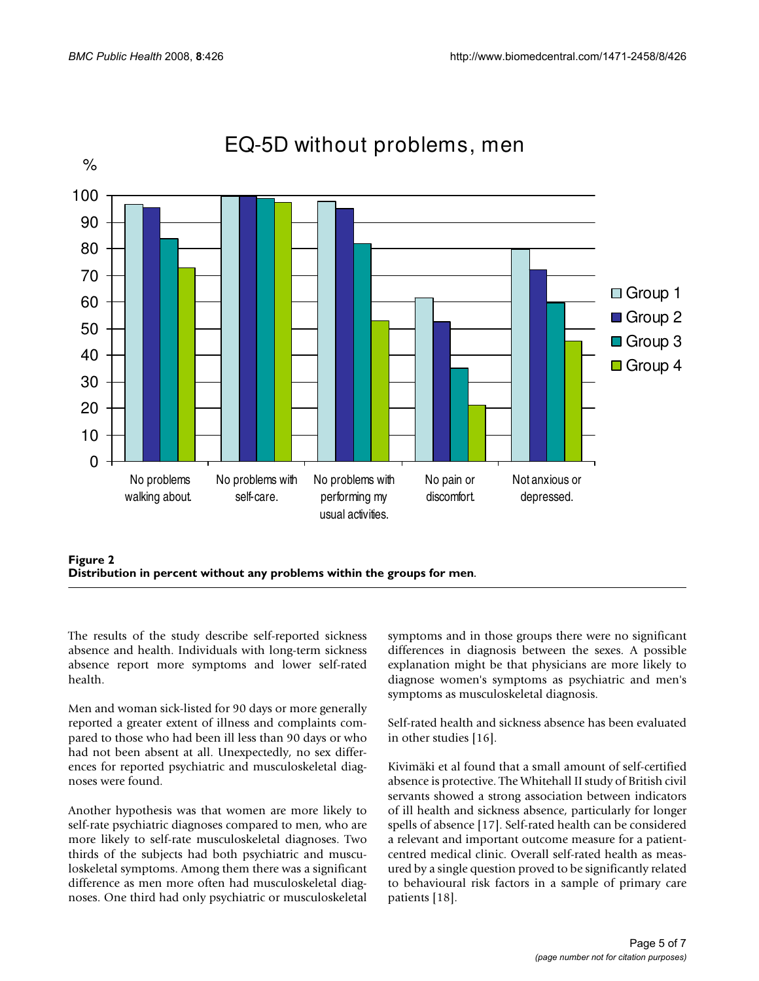

# EQ-5D without problems, men



The results of the study describe self-reported sickness absence and health. Individuals with long-term sickness absence report more symptoms and lower self-rated health.

Men and woman sick-listed for 90 days or more generally reported a greater extent of illness and complaints compared to those who had been ill less than 90 days or who had not been absent at all. Unexpectedly, no sex differences for reported psychiatric and musculoskeletal diagnoses were found.

Another hypothesis was that women are more likely to self-rate psychiatric diagnoses compared to men, who are more likely to self-rate musculoskeletal diagnoses. Two thirds of the subjects had both psychiatric and musculoskeletal symptoms. Among them there was a significant difference as men more often had musculoskeletal diagnoses. One third had only psychiatric or musculoskeletal

symptoms and in those groups there were no significant differences in diagnosis between the sexes. A possible explanation might be that physicians are more likely to diagnose women's symptoms as psychiatric and men's symptoms as musculoskeletal diagnosis.

Self-rated health and sickness absence has been evaluated in other studies [16].

Kivimäki et al found that a small amount of self-certified absence is protective. The Whitehall II study of British civil servants showed a strong association between indicators of ill health and sickness absence, particularly for longer spells of absence [17]. Self-rated health can be considered a relevant and important outcome measure for a patientcentred medical clinic. Overall self-rated health as measured by a single question proved to be significantly related to behavioural risk factors in a sample of primary care patients [18].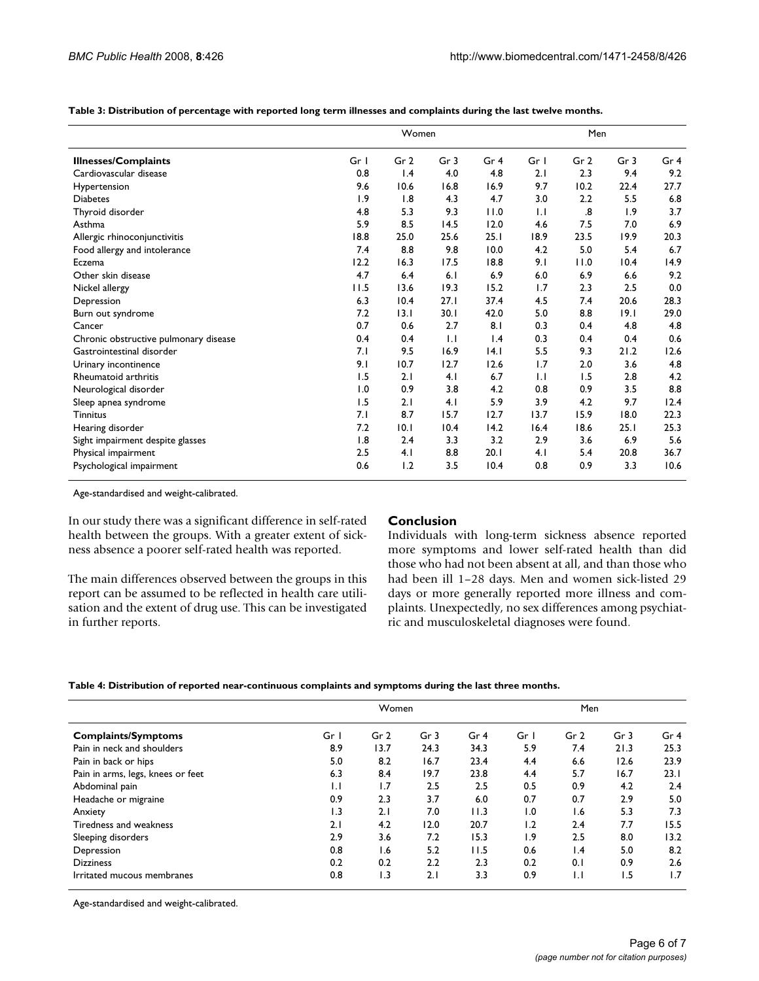|  |  |  |  | Table 3: Distribution of percentage with reported long term illnesses and complaints during the last twelve months. |
|--|--|--|--|---------------------------------------------------------------------------------------------------------------------|
|--|--|--|--|---------------------------------------------------------------------------------------------------------------------|

|                                       |      | Women           |                 |                 | Men  |                 |                 |                 |
|---------------------------------------|------|-----------------|-----------------|-----------------|------|-----------------|-----------------|-----------------|
| <b>Illnesses/Complaints</b>           | Gr I | Gr <sub>2</sub> | Gr <sub>3</sub> | Gr <sub>4</sub> | Gr I | Gr <sub>2</sub> | Gr <sub>3</sub> | Gr <sub>4</sub> |
| Cardiovascular disease                | 0.8  | $\mathsf{I}$ .4 | 4.0             | 4.8             | 2.1  | 2.3             | 9.4             | 9.2             |
| Hypertension                          | 9.6  | 10.6            | 16.8            | 16.9            | 9.7  | 10.2            | 22.4            | 27.7            |
| <b>Diabetes</b>                       | 1.9  | 1.8             | 4.3             | 4.7             | 3.0  | 2.2             | 5.5             | 6.8             |
| Thyroid disorder                      | 4.8  | 5.3             | 9.3             | 11.0            | 1.1  | .8              | 1.9             | 3.7             |
| Asthma                                | 5.9  | 8.5             | 14.5            | 12.0            | 4.6  | 7.5             | 7.0             | 6.9             |
| Allergic rhinoconjunctivitis          | 18.8 | 25.0            | 25.6            | 25.1            | 18.9 | 23.5            | 19.9            | 20.3            |
| Food allergy and intolerance          | 7.4  | 8.8             | 9.8             | 10.0            | 4.2  | 5.0             | 5.4             | 6.7             |
| Eczema                                | 12.2 | 16.3            | 17.5            | 18.8            | 9.1  | 11.0            | 10.4            | 14.9            |
| Other skin disease                    | 4.7  | 6.4             | 6.1             | 6.9             | 6.0  | 6.9             | 6.6             | 9.2             |
| Nickel allergy                        | 11.5 | 13.6            | 19.3            | 15.2            | 1.7  | 2.3             | 2.5             | 0.0             |
| Depression                            | 6.3  | 10.4            | 27.1            | 37.4            | 4.5  | 7.4             | 20.6            | 28.3            |
| Burn out syndrome                     | 7.2  | 13.1            | 30.1            | 42.0            | 5.0  | 8.8             | 9.1             | 29.0            |
| Cancer                                | 0.7  | 0.6             | 2.7             | 8.1             | 0.3  | 0.4             | 4.8             | 4.8             |
| Chronic obstructive pulmonary disease | 0.4  | 0.4             | $\mathsf{L}$    | 1.4             | 0.3  | 0.4             | 0.4             | 0.6             |
| Gastrointestinal disorder             | 7.1  | 9.5             | 16.9            | 4.1             | 5.5  | 9.3             | 21.2            | 12.6            |
| Urinary incontinence                  | 9.1  | 10.7            | 12.7            | 12.6            | 1.7  | 2.0             | 3.6             | 4.8             |
| Rheumatoid arthritis                  | 1.5  | 2.1             | 4.1             | 6.7             | 1.1  | 1.5             | 2.8             | 4.2             |
| Neurological disorder                 | 1.0  | 0.9             | 3.8             | 4.2             | 0.8  | 0.9             | 3.5             | 8.8             |
| Sleep apnea syndrome                  | 1.5  | 2.1             | 4.1             | 5.9             | 3.9  | 4.2             | 9.7             | 12.4            |
| <b>Tinnitus</b>                       | 7.1  | 8.7             | 15.7            | 12.7            | 13.7 | 15.9            | 18.0            | 22.3            |
| Hearing disorder                      | 7.2  | 10.1            | 10.4            | 14.2            | 16.4 | 18.6            | 25.1            | 25.3            |
| Sight impairment despite glasses      | 1.8  | 2.4             | 3.3             | 3.2             | 2.9  | 3.6             | 6.9             | 5.6             |
| Physical impairment                   | 2.5  | 4.1             | 8.8             | 20.1            | 4.1  | 5.4             | 20.8            | 36.7            |
| Psychological impairment              | 0.6  | 1.2             | 3.5             | 10.4            | 0.8  | 0.9             | 3.3             | 10.6            |

Age-standardised and weight-calibrated.

In our study there was a significant difference in self-rated health between the groups. With a greater extent of sickness absence a poorer self-rated health was reported.

The main differences observed between the groups in this report can be assumed to be reflected in health care utilisation and the extent of drug use. This can be investigated in further reports.

#### **Conclusion**

Individuals with long-term sickness absence reported more symptoms and lower self-rated health than did those who had not been absent at all, and than those who had been ill 1–28 days. Men and women sick-listed 29 days or more generally reported more illness and complaints. Unexpectedly, no sex differences among psychiatric and musculoskeletal diagnoses were found.

| Table 4: Distribution of reported near-continuous complaints and symptoms during the last three months. |  |  |  |
|---------------------------------------------------------------------------------------------------------|--|--|--|
|---------------------------------------------------------------------------------------------------------|--|--|--|

|                                   |              | Women           |                 |                 |      | Men             |                 |                 |  |
|-----------------------------------|--------------|-----------------|-----------------|-----------------|------|-----------------|-----------------|-----------------|--|
| <b>Complaints/Symptoms</b>        | Gr I         | Gr <sub>2</sub> | Gr <sub>3</sub> | Gr <sub>4</sub> | Gr I | Gr <sub>2</sub> | Gr <sub>3</sub> | Gr <sub>4</sub> |  |
| Pain in neck and shoulders        | 8.9          | 13.7            | 24.3            | 34.3            | 5.9  | 7.4             | 21.3            | 25.3            |  |
| Pain in back or hips              | 5.0          | 8.2             | 16.7            | 23.4            | 4.4  | 6.6             | 12.6            | 23.9            |  |
| Pain in arms, legs, knees or feet | 6.3          | 8.4             | 19.7            | 23.8            | 4.4  | 5.7             | 16.7            | 23.1            |  |
| Abdominal pain                    | $\mathsf{L}$ | 1.7             | 2.5             | 2.5             | 0.5  | 0.9             | 4.2             | 2.4             |  |
| Headache or migraine              | 0.9          | 2.3             | 3.7             | 6.0             | 0.7  | 0.7             | 2.9             | 5.0             |  |
| Anxiety                           | 1.3          | 2.1             | 7.0             | 11.3            | 1.0  | 1.6             | 5.3             | 7.3             |  |
| Tiredness and weakness            | 2.1          | 4.2             | 12.0            | 20.7            | 1.2  | 2.4             | 7.7             | 15.5            |  |
| Sleeping disorders                | 2.9          | 3.6             | 7.2             | 15.3            | 1.9  | 2.5             | 8.0             | 13.2            |  |
| Depression                        | 0.8          | 1.6             | 5.2             | 11.5            | 0.6  | $\mathsf{I}$ .4 | 5.0             | 8.2             |  |
| <b>Dizziness</b>                  | 0.2          | 0.2             | 2.2             | 2.3             | 0.2  | 0.1             | 0.9             | 2.6             |  |
| Irritated mucous membranes        | 0.8          | 1.3             | 2.1             | 3.3             | 0.9  | $\mathsf{L}$    | 1.5             | 1.7             |  |

Age-standardised and weight-calibrated.